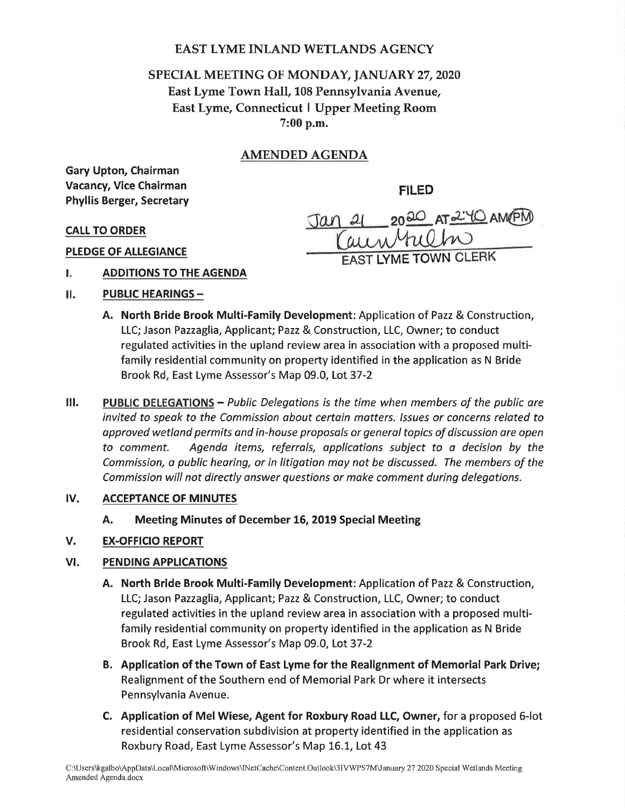## EAST LYME INLAND WETLANDS AGENCY

# SPECIAL MEETING OF MONDAY, JANUARY 27, 2020 East Lyme Town Hall, 108 Pennsylvania Avenue, East Lyme, Connecticut I Upper Meeting Room 7:00 p.m.

# AMENDED AGENDA

Gary Upton, Chairman Vacancy, Vice Chairman Phyllis Berger, Secretary

FILED

EAST LYME TOWN CLERK

 $\frac{21}{441}$  2020 AT 2.40 AM(PM)

CALL TO ORDER

PLEDGE OF ALLEGIANCE

- L ADDITIONS TO THE AGENDA
- п. PUBLIC HEARINGS -
	- A. North Bride Brook Multi-Family Development: Application of Pazz & Construction, LLC; Jason Pazzaglia, Applicant; Pazz & Construction, LLC, Owner; to conduct regulated activities in the upland review area in association with a proposed multifamily residential community on property identified in the application as N Bride Brook Rd, East Lyme Assessor's Map 09.0, Lot 37-2

Jan 21

III. PUBLIC DELEGATIONS - Public Delegations is the time when members of the public are invited to speok to the Commission about certoin matters. /ssues or concerns related to approved wetland permits and in-house proposals or general topics of discussion are open to comment. Agenda items, referrals, opplications subject to o decision by the Commission, a public heoring, or in litigation may not be discussed. The members of the Commission will not directly onswer questions or make comment during delegations.

### ACCEPTANCE OF MINUTES  $IV<sub>i</sub>$

A. Meeting Minutes of December 16, 2019 Special Meeting

### EX.OFFICIO REPORT v.

### PENDING APPLICATIONS VI

- A. North Bride Brook Multi-Family Development: Application of Pazz & Construction, LLC; Jason Pazzaglia, Applicant; Pazz& Construction, LLC, Owner; to conduct regulated activities in the upland review area in association with a proposed multifamily residential community on property identified in the application as N Bride Brook Rd, East Lyme Assessor's Map 09.0, Lot 37-2
- B. Application of the Town of East Lyme for the Realignment of Memorial Park Drive; Realignment of the Southern end of Memorial Park Dr where it intersects Pennsylvania Avenue.
- C. Application of MelWiese, Agent for Roxbury Road LLC, Owner, for a proposed 6-lot residential conservation subdivision at property identified in the application as Roxbury Road, East Lyme Assessor's Map 16.1, Lot 43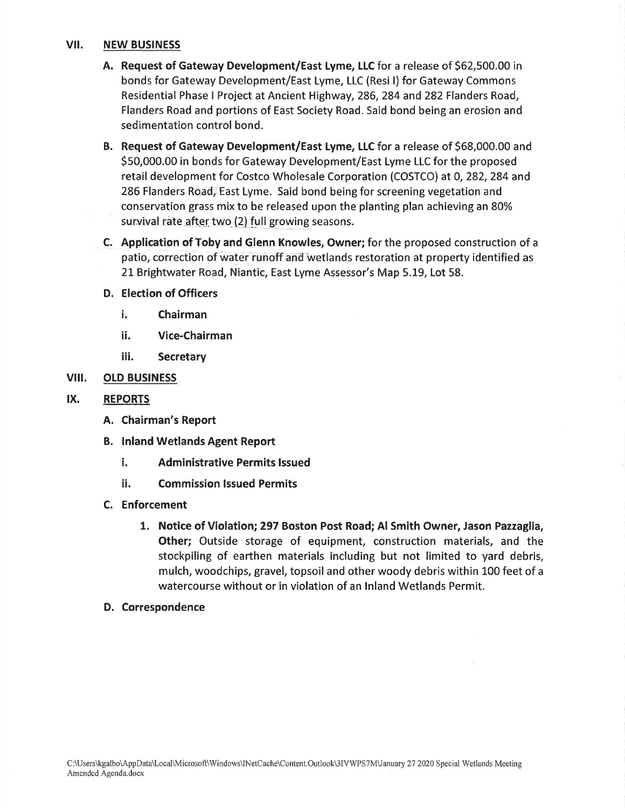### vil. NEW BUSINESS

- A. Request of Gateway Development/East Lyme, LLC for a release of 562,500.00 in bonds for Gateway Development/East Lyme, LLC (Resi l) for Gateway Commons Residential Phase I Project at Ancient Highway, 286,284 and 282 Flanders Road, Flanders Road and portions of East Society Road. Said bond being an erosion and sedimentation control bond.
- B. Request of Gateway Development/East Lyme, LLC for a release of \$68,000.00 and 550,000.00 in bonds for Gateway Development/East Lyme LLC for the proposed retail development for Costco Wholesale Corporation (COSTCO) at 0, 282, 284 and 286 Flanders Road, East Lyme. Said bond being for screening vegetation and conservation grass mix to be released upon the planting plan achieving an 80% survival rate after two (2) full growing seasons.
- C. Application of Toby and Glenn Knowles, Owner; for the proposed construction of <sup>a</sup> patio, correction of water runoff and wetlands restoration at property identified as 2L Brightwater Road, Niantic, East Lyme Assessor's Map 5.L9, Lot 58.

### D. Election of Officers

- i. Chairman
- ii. Vice-Chairman
- iii. Secretary

### vilt. OLD BUSINESS

### IX. **REPORTS**

- A. Chairman's Report
- B. lnland Wetlands Agent Report
	- i. Administrative Permits lssued
	- ii. Commission lssued Permits
- C. Enforcement
	- 1. Notice of Violation;297 Boston Post Road; Al Smith Owner, Jason Pazzaglia, Other; Outside storage of equipment, construction materials, and the stockpiling of earthen materials including but not limited to yard debris, mulch, woodchips, gravel, topsoil and other woody debris within 100 feet of a watercourse without or in violation of an lnland Wetlands Permit.
- D. Correspondence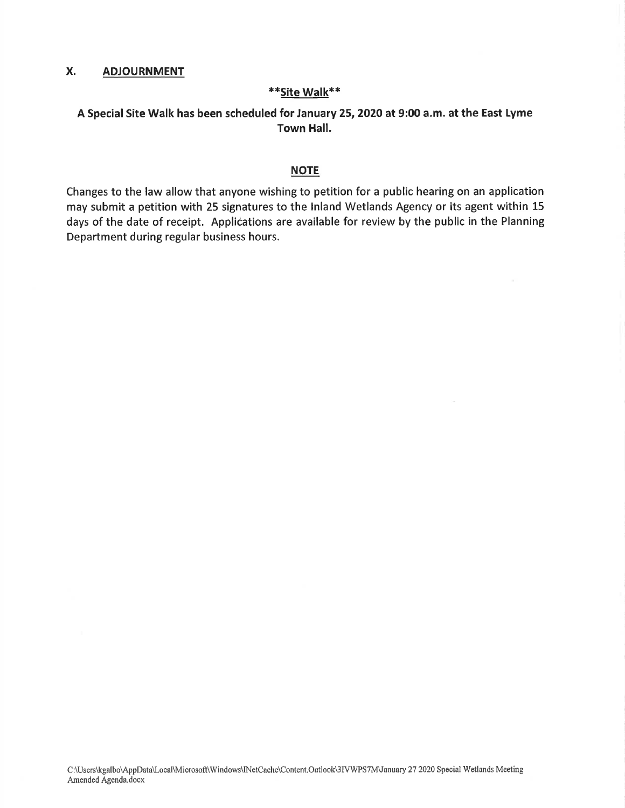### X. ADJOURNMENT

### \*Site Walk\*\*

### A Special Site Walk has been scheduled for January 25,2020 at 9:00 a.m. at the East Lyme Town Hall.

### **NOTE**

Changes to the law allow that anyone wishing to petition for a public hearing on an application may submit a petition with 25 signatures to the lnland Wetlands Agency or its agent within 15 days of the date of receipt. Applications are available for review by the public in the Planning Department during regular business hours.